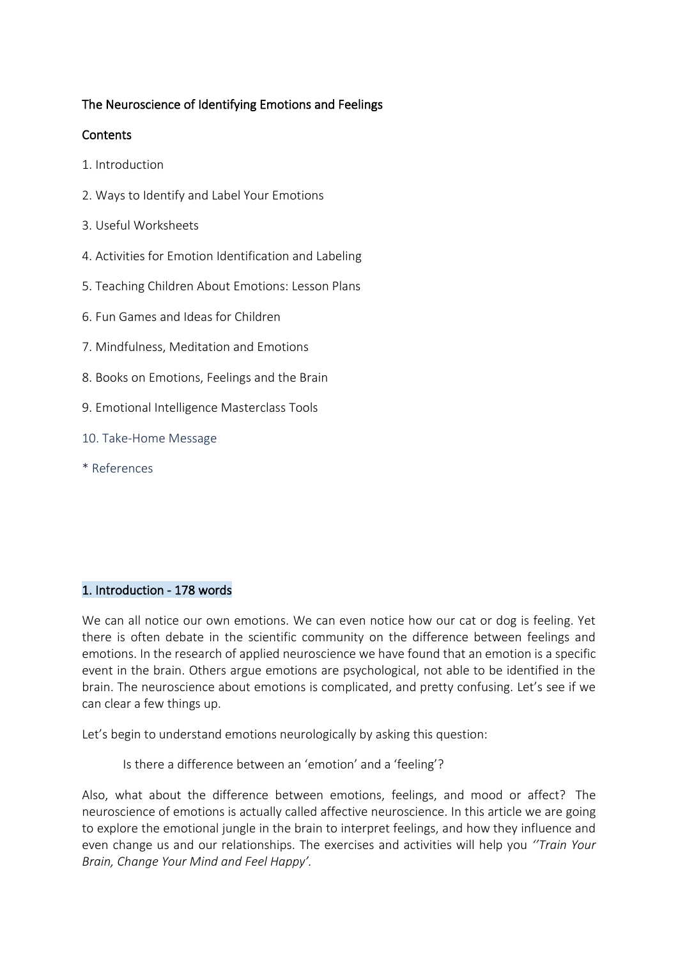# The Neuroscience of Identifying Emotions and Feelings

# Contents

- 1. Introduction
- 2. Ways to Identify and Label Your Emotions
- 3. Useful Worksheets
- 4. Activities for Emotion Identification and Labeling
- 5. Teaching Children About Emotions: Lesson Plans
- 6. Fun Games and Ideas for Children
- 7. Mindfulness, Meditation and Emotions
- 8. Books on Emotions, Feelings and the Brain
- 9. Emotional Intelligence Masterclass Tools
- 10. Take-Home Message
- \* References

### 1. Introduction - 178 words

We can all notice our own emotions. We can even notice how our cat or dog is feeling. Yet there is often debate in the scientific community on the difference between feelings and emotions. In the research of applied neuroscience we have found that an emotion is a specific event in the brain. Others argue emotions are psychological, not able to be identified in the brain. The neuroscience about emotions is complicated, and pretty confusing. Let's see if we can clear a few things up.

Let's begin to understand emotions neurologically by asking this question:

Is there a difference between an 'emotion' and a 'feeling'?

Also, what about the difference between emotions, feelings, and mood or affect? The neuroscience of emotions is actually called affective neuroscience. In this article we are going to explore the emotional jungle in the brain to interpret feelings, and how they influence and even change us and our relationships. The exercises and activities will help you *''Train Your Brain, Change Your Mind and Feel Happy'.*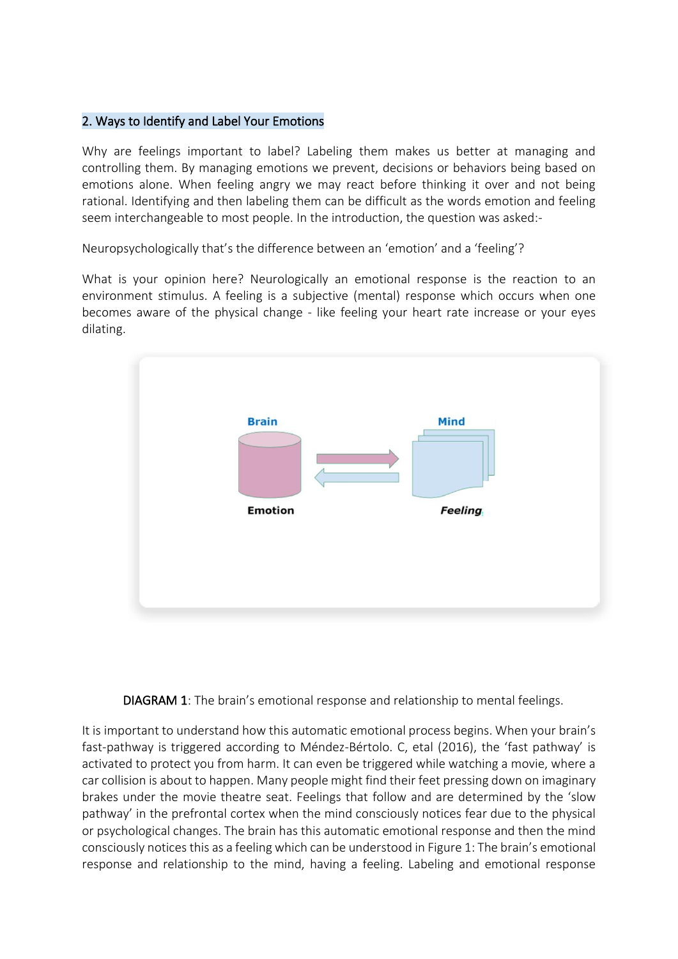# 2. Ways to Identify and Label Your Emotions

Why are feelings important to label? Labeling them makes us better at managing and controlling them. By managing emotions we prevent, decisions or behaviors being based on emotions alone. When feeling angry we may react before thinking it over and not being rational. Identifying and then labeling them can be difficult as the words emotion and feeling seem interchangeable to most people. In the introduction, the question was asked:-

Neuropsychologically that's the difference between an 'emotion' and a 'feeling'?

What is your opinion here? Neurologically an emotional response is the reaction to an environment stimulus. A feeling is a subjective (mental) response which occurs when one becomes aware of the physical change - like feeling your heart rate increase or your eyes dilating.





It is important to understand how this automatic emotional process begins. When your brain's fast-pathway is triggered according to Méndez-Bértolo. C, etal (2016), the 'fast pathway' is activated to protect you from harm. It can even be triggered while watching a movie, where a car collision is about to happen. Many people might find their feet pressing down on imaginary brakes under the movie theatre seat. Feelings that follow and are determined by the 'slow pathway' in the prefrontal cortex when the mind consciously notices fear due to the physical or psychological changes. The brain has this automatic emotional response and then the mind consciously notices this as a feeling which can be understood in Figure 1: The brain's emotional response and relationship to the mind, having a feeling. Labeling and emotional response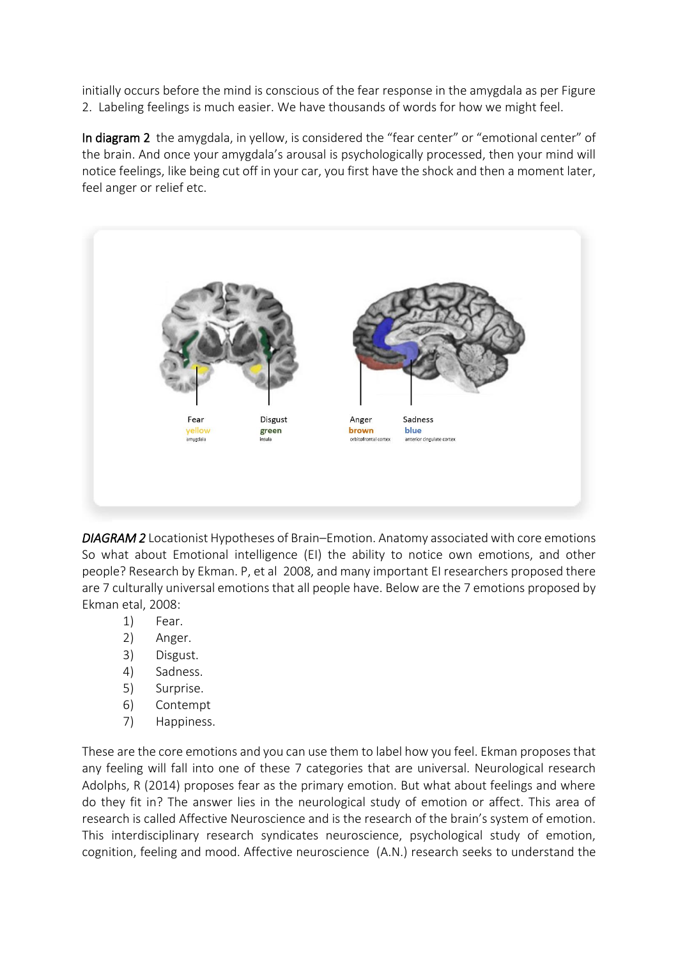initially occurs before the mind is conscious of the fear response in the amygdala as per Figure 2. Labeling feelings is much easier. We have thousands of words for how we might feel.

In diagram 2 the amygdala, in yellow, is considered the "fear center" or "emotional center" of the brain. And once your amygdala's arousal is psychologically processed, then your mind will notice feelings, like being cut off in your car, you first have the shock and then a moment later, feel anger or relief etc.



*DIAGRAM 2* Locationist Hypotheses of Brain–Emotion. Anatomy associated with core emotions So what about Emotional intelligence (EI) the ability to notice own emotions, and other people? Research by Ekman. P, et al 2008, and many important EI researchers proposed there are 7 culturally universal emotions that all people have. Below are the 7 emotions proposed by Ekman etal, 2008:

- 1) Fear.
- 2) Anger.
- 3) Disgust.
- 4) Sadness.
- 5) Surprise.
- 6) Contempt
- 7) Happiness.

These are the core emotions and you can use them to label how you feel. Ekman proposes that any feeling will fall into one of these 7 categories that are universal. Neurological research Adolphs, R (2014) proposes fear as the primary emotion. But what about feelings and where do they fit in? The answer lies in the neurological study of emotion or affect. This area of research is called Affective Neuroscience and is the research of the brain's system of emotion. This interdisciplinary research syndicates neuroscience, psychological study of emotion, cognition, feeling and mood. Affective neuroscience (A.N.) research seeks to understand the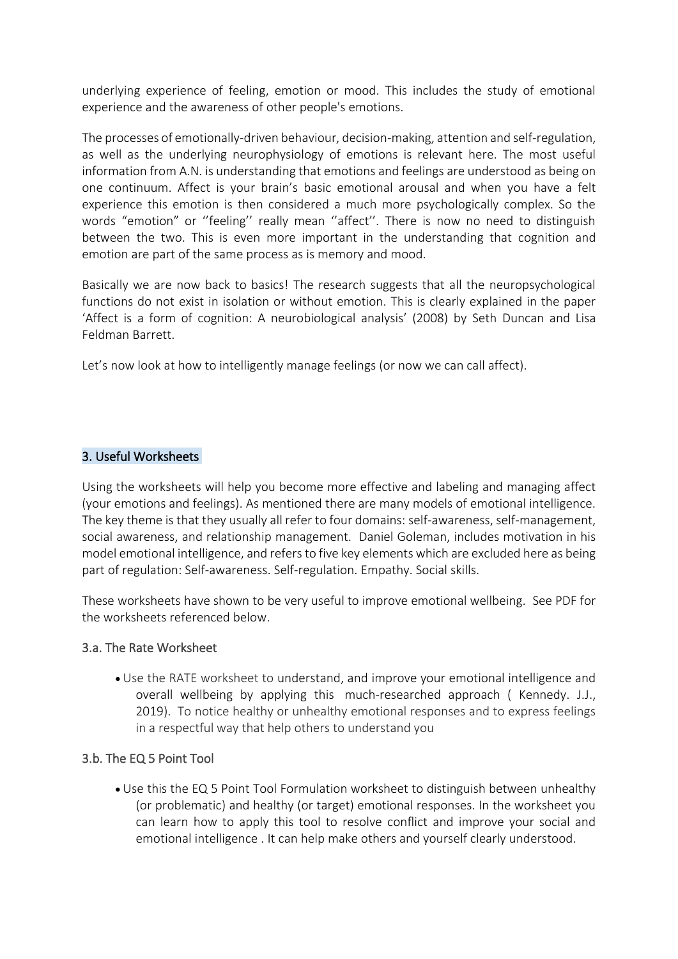underlying experience of feeling, emotion or mood. This includes the study of emotional experience and the awareness of other people's emotions.

The processes of emotionally-driven behaviour, decision-making, attention and self-regulation, as well as the underlying neurophysiology of emotions is relevant here. The most useful information from A.N. is understanding that emotions and feelings are understood as being on one continuum. Affect is your brain's basic emotional arousal and when you have a felt experience this emotion is then considered a much more psychologically complex. So the words "emotion" or ''feeling'' really mean ''affect''. There is now no need to distinguish between the two. This is even more important in the understanding that cognition and emotion are part of the same process as is memory and mood.

Basically we are now back to basics! The research suggests that all the neuropsychological functions do not exist in isolation or without emotion. This is clearly explained in the paper 'Affect is a form of cognition: A neurobiological analysis' (2008) by Seth Duncan and Lisa Feldman Barrett.

Let's now look at how to intelligently manage feelings (or now we can call affect).

## 3. Useful Worksheets

Using the worksheets will help you become more effective and labeling and managing affect (your emotions and feelings). As mentioned there are many models of emotional intelligence. The key theme is that they usually all refer to four domains: self-awareness, self-management, social awareness, and relationship management. Daniel Goleman, includes motivation in his model emotional intelligence, and refers to five key elements which are excluded here as being part of regulation: Self-awareness. Self-regulation. Empathy. Social skills.

These worksheets have shown to be very useful to improve emotional wellbeing. See PDF for the worksheets referenced below.

### 3.a. The Rate Worksheet

• Use the RATE worksheet to understand, and improve your emotional intelligence and overall wellbeing by applying this much-researched approach ( Kennedy. J.J., 2019). To notice healthy or unhealthy emotional responses and to express feelings in a respectful way that help others to understand you

# 3.b. The EQ 5 Point Tool

• Use this the EQ 5 Point Tool Formulation worksheet to distinguish between unhealthy (or problematic) and healthy (or target) emotional responses. In the worksheet you can learn how to apply this tool to resolve conflict and improve your social and emotional intelligence . It can help make others and yourself clearly understood.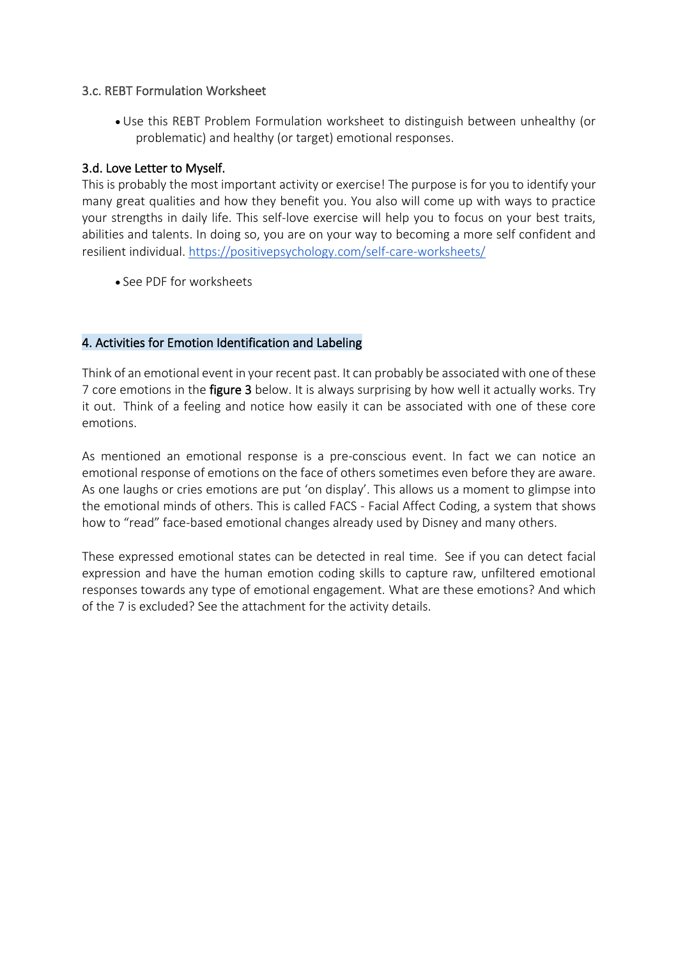# 3.c. REBT Formulation Worksheet

• Use this REBT Problem Formulation worksheet to distinguish between unhealthy (or problematic) and healthy (or target) emotional responses.

# 3.d. Love Letter to Myself.

This is probably the most important activity or exercise! The purpose is for you to identify your many great qualities and how they benefit you. You also will come up with ways to practice your strengths in daily life. This self-love exercise will help you to focus on your best traits, abilities and talents. In doing so, you are on your way to becoming a more self confident and resilient individual.<https://positivepsychology.com/self-care-worksheets/>

• See PDF for worksheets

# 4. Activities for Emotion Identification and Labeling

Think of an emotional event in your recent past. It can probably be associated with one of these 7 core emotions in the **figure 3** below. It is always surprising by how well it actually works. Try it out. Think of a feeling and notice how easily it can be associated with one of these core emotions.

As mentioned an emotional response is a pre-conscious event. In fact we can notice an emotional response of emotions on the face of others sometimes even before they are aware. As one laughs or cries emotions are put 'on display'. This allows us a moment to glimpse into the emotional minds of others. This is called FACS - Facial Affect Coding, a system that shows how to "read" face-based emotional changes already used by Disney and many others.

These expressed emotional states can be detected in real time. See if you can detect facial expression and have the human emotion coding skills to capture raw, unfiltered emotional responses towards any type of emotional engagement. What are these emotions? And which of the 7 is excluded? See the attachment for the activity details.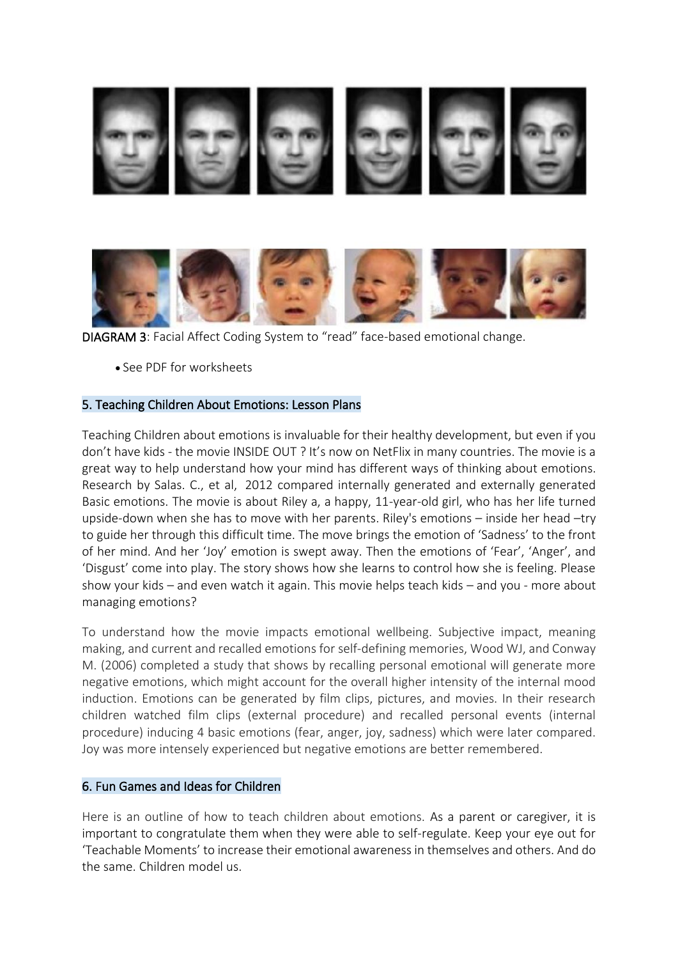

DIAGRAM 3: Facial Affect Coding System to "read" face-based emotional change.

• See PDF for worksheets

## 5. Teaching Children About Emotions: Lesson Plans

Teaching Children about emotions is invaluable for their healthy development, but even if you don't have kids - the movie INSIDE OUT ? It's now on NetFlix in many countries. The movie is a great way to help understand how your mind has different ways of thinking about emotions. Research by Salas. C., et al, 2012 compared internally generated and externally generated Basic emotions. The movie is about Riley a, a happy, 11-year-old girl, who has her life turned upside-down when she has to move with her parents. Riley's emotions – inside her head –try to guide her through this difficult time. The move brings the emotion of 'Sadness' to the front of her mind. And her 'Joy' emotion is swept away. Then the emotions of 'Fear', 'Anger', and 'Disgust' come into play. The story shows how she learns to control how she is feeling. Please show your kids – and even watch it again. This movie helps teach kids – and you - more about managing emotions?

To understand how the movie impacts emotional wellbeing. Subjective impact, meaning making, and current and recalled emotions for self-defining memories, Wood WJ, and Conway M. (2006) completed a study that shows by recalling personal emotional will generate more negative emotions, which might account for the overall higher intensity of the internal mood induction. Emotions can be generated by film clips, pictures, and movies. In their research children watched film clips (external procedure) and recalled personal events (internal procedure) inducing 4 basic emotions (fear, anger, joy, sadness) which were later compared. Joy was more intensely experienced but negative emotions are better remembered.

### 6. Fun Games and Ideas for Children

Here is an outline of how to teach children about emotions. As a parent or caregiver, it is important to congratulate them when they were able to self-regulate. Keep your eye out for 'Teachable Moments' to increase their emotional awareness in themselves and others. And do the same. Children model us.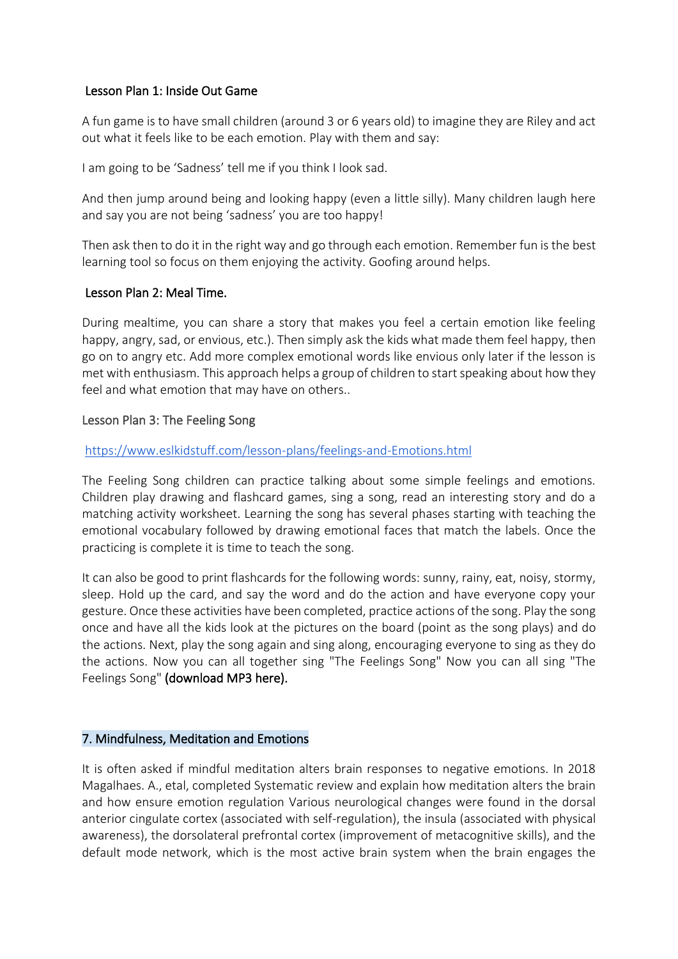# Lesson Plan 1: Inside Out Game

A fun game is to have small children (around 3 or 6 years old) to imagine they are Riley and act out what it feels like to be each emotion. Play with them and say:

I am going to be 'Sadness' tell me if you think I look sad.

And then jump around being and looking happy (even a little silly). Many children laugh here and say you are not being 'sadness' you are too happy!

Then ask then to do it in the right way and go through each emotion. Remember fun is the best learning tool so focus on them enjoying the activity. Goofing around helps.

# Lesson Plan 2: Meal Time.

During mealtime, you can share a story that makes you feel a certain emotion like feeling happy, angry, sad, or envious, etc.). Then simply ask the kids what made them feel happy, then go on to angry etc. Add more complex emotional words like envious only later if the lesson is met with enthusiasm. This approach helps a group of children to start speaking about how they feel and what emotion that may have on others..

## Lesson Plan 3: The Feeling Song

## <https://www.eslkidstuff.com/lesson-plans/feelings-and-Emotions.html>

The Feeling Song children can practice talking about some simple feelings and emotions. Children play drawing and flashcard games, sing a song, read an interesting story and do a matching activity worksheet. Learning the song has several phases starting with teaching the emotional vocabulary followed by drawing emotional faces that match the labels. Once the practicing is complete it is time to teach the song.

It can also be good to print flashcards for the following words: sunny, rainy, eat, noisy, stormy, sleep. Hold up the card, and say the word and do the action and have everyone copy your gesture. Once these activities have been completed, practice actions of the song. Play the song once and have all the kids look at the pictures on the board (point as the song plays) and do the actions. Next, play the song again and sing along, encouraging everyone to sing as they do the actions. Now you can all together sing "The Feelings Song" Now you can all sing "The Feelings Song" (download MP3 here).

### 7. Mindfulness, Meditation and Emotions

It is often asked if mindful meditation alters brain responses to negative emotions. In 2018 Magalhaes. A., etal, completed Systematic review and explain how meditation alters the brain and how ensure emotion regulation Various neurological changes were found in the dorsal anterior cingulate cortex (associated with self-regulation), the insula (associated with physical awareness), the dorsolateral prefrontal cortex (improvement of metacognitive skills), and the default mode network, which is the most active brain system when the brain engages the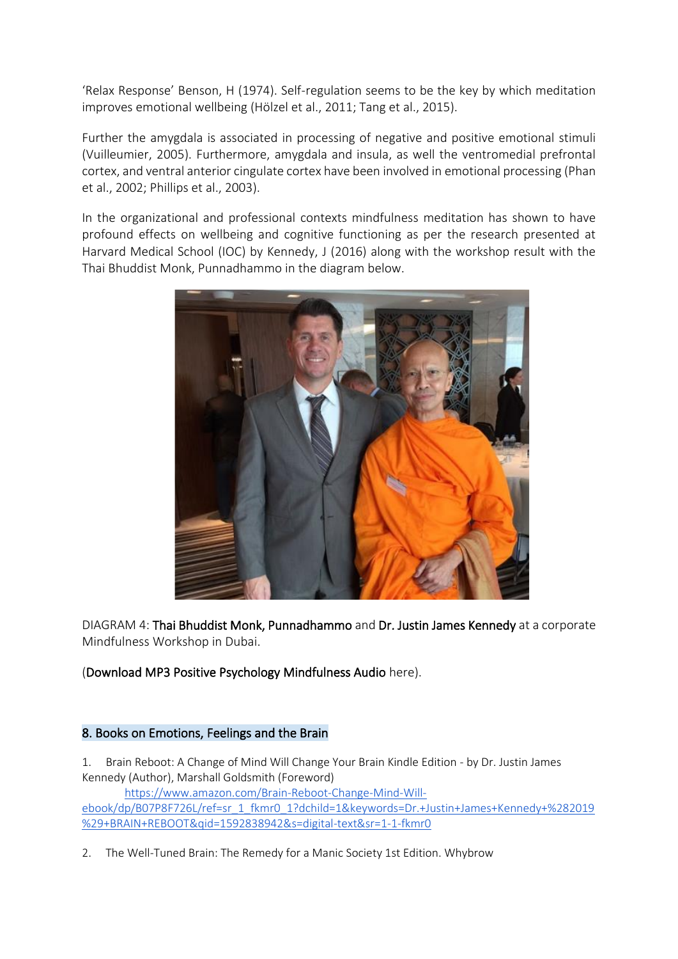'Relax Response' Benson, H (1974). Self-regulation seems to be the key by which meditation improves emotional wellbeing (Hölzel et al., 2011; Tang et al., 2015).

Further the amygdala is associated in processing of negative and positive emotional stimuli (Vuilleumier, 2005). Furthermore, amygdala and insula, as well the ventromedial prefrontal cortex, and ventral anterior cingulate cortex have been involved in emotional processing (Phan et al., 2002; Phillips et al., 2003).

In the organizational and professional contexts mindfulness meditation has shown to have profound effects on wellbeing and cognitive functioning as per the research presented at Harvard Medical School (IOC) by Kennedy, J (2016) along with the workshop result with the Thai Bhuddist Monk, Punnadhammo in the diagram below.



DIAGRAM 4: Thai Bhuddist Monk, Punnadhammo and Dr. Justin James Kennedy at a corporate Mindfulness Workshop in Dubai.

# (Download MP3 Positive Psychology Mindfulness Audio here).

# 8. Books on Emotions, Feelings and the Brain

1. Brain Reboot: A Change of Mind Will Change Your Brain Kindle Edition - by Dr. Justin James Kennedy (Author), Marshall Goldsmith (Foreword) [https://www.amazon.com/Brain-Reboot-Change-Mind-Will](https://www.amazon.com/Brain-Reboot-Change-Mind-Will-ebook/dp/B07P8F726L/ref=sr_1_fkmr0_1?dchild=1&keywords=Dr.+Justin+James+Kennedy+%282019%29+BRAIN+REBOOT&qid=1592838942&s=digital-text&sr=1-1-fkmr0)[ebook/dp/B07P8F726L/ref=sr\\_1\\_fkmr0\\_1?dchild=1&keywords=Dr.+Justin+James+Kennedy+%282019](https://www.amazon.com/Brain-Reboot-Change-Mind-Will-ebook/dp/B07P8F726L/ref=sr_1_fkmr0_1?dchild=1&keywords=Dr.+Justin+James+Kennedy+%282019%29+BRAIN+REBOOT&qid=1592838942&s=digital-text&sr=1-1-fkmr0) [%29+BRAIN+REBOOT&qid=1592838942&s=digital-text&sr=1-1-fkmr0](https://www.amazon.com/Brain-Reboot-Change-Mind-Will-ebook/dp/B07P8F726L/ref=sr_1_fkmr0_1?dchild=1&keywords=Dr.+Justin+James+Kennedy+%282019%29+BRAIN+REBOOT&qid=1592838942&s=digital-text&sr=1-1-fkmr0)

2. The Well-Tuned Brain: The Remedy for a Manic Society 1st Edition. Whybrow